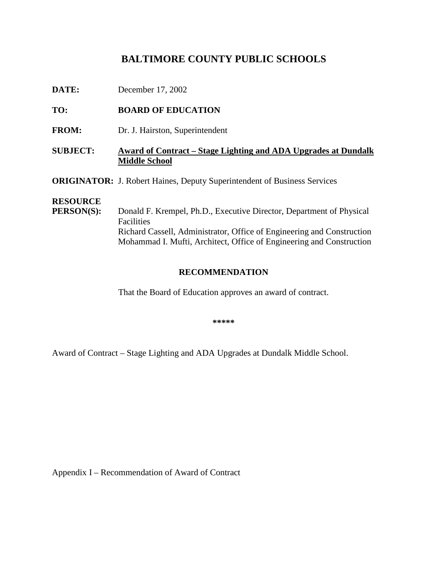# BALTIMORE COUNTY PUBLICS CHOOLS

### TO: **BOARDOFEDUCATION**

FROM: Dr.J. Hairston, Superintendent

## **SUBJECT: Award of Contract** – Stage Lighting and ADA Upgrades at Dundalk **Middle School**

**ORIGINATOR:** J. Robert Haines, Deputy S uperintendent of Business Services

#### **RESOURCE**

**PERSON(S):** Donald F. Krempel, Ph.D., Executive Director, Department of Physical **Facilities** Richard Cassell, Administrator, Office of Engineering and Construction Mohammad I. Mufti, Architect, Office of Enginee ring and Construction

### **RECOMMENDATION**

That the Board of Education approves an award of contract.

**\*\*\*\*\***

Award of Contract – Stage Lighting and ADA Upgrades at Dundalk Middle School.

AppendixI – Recommendation of Award of Contract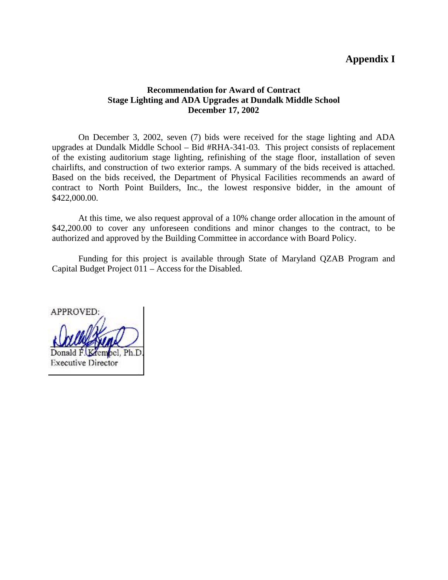## **AppendixI**

#### **Recommendation for Award of Contract Stage Lighting and ADA Upgrades at Dundalk Middle School December 17, 2002**

On December 3, 2002, seven (7) bids were received for the stage lighting and ADA upgrades at Dundalk Middle School – Bid #RHA -341-03. This project consists of replacement of the existing auditorium stage lighting, refinishing of the stage floor, installation of seven chairlifts, and construction of two exterior ramps. A summary of the bids received is attached. Based on the bids received, the Department of Physical Facilities recommends an award of contract to North Point Builders, Inc., the lowest responsive bidder, in the amount of \$422,000.00.

At this time, we also request approval of a 10% change order allocation in the amount of \$42,200.00 to cover any unforeseen conditions and minor changes to the contract, to be authorized and approved by the Building Committee in accordance with Board Policy.

Funding for this project is available through State of Maryland QZAB Pro gram and Capital Budget Project 011 – Access for the Disabled.

APPROVED: Donald F. Krembel, Ph.D. **Executive Director**